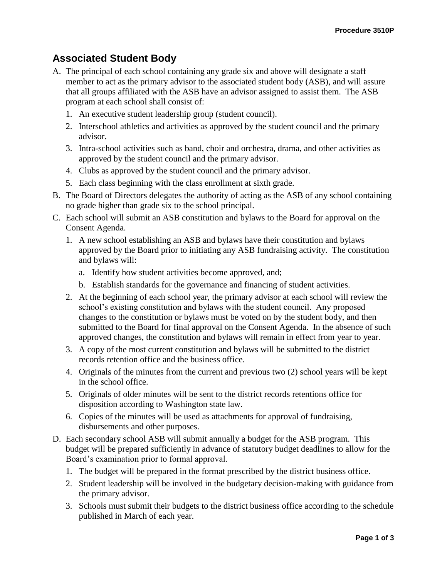## **Associated Student Body**

- A. The principal of each school containing any grade six and above will designate a staff member to act as the primary advisor to the associated student body (ASB), and will assure that all groups affiliated with the ASB have an advisor assigned to assist them. The ASB program at each school shall consist of:
	- 1. An executive student leadership group (student council).
	- 2. Interschool athletics and activities as approved by the student council and the primary advisor.
	- 3. Intra-school activities such as band, choir and orchestra, drama, and other activities as approved by the student council and the primary advisor.
	- 4. Clubs as approved by the student council and the primary advisor.
	- 5. Each class beginning with the class enrollment at sixth grade.
- B. The Board of Directors delegates the authority of acting as the ASB of any school containing no grade higher than grade six to the school principal.
- C. Each school will submit an ASB constitution and bylaws to the Board for approval on the Consent Agenda.
	- 1. A new school establishing an ASB and bylaws have their constitution and bylaws approved by the Board prior to initiating any ASB fundraising activity. The constitution and bylaws will:
		- a. Identify how student activities become approved, and;
		- b. Establish standards for the governance and financing of student activities.
	- 2. At the beginning of each school year, the primary advisor at each school will review the school's existing constitution and bylaws with the student council. Any proposed changes to the constitution or bylaws must be voted on by the student body, and then submitted to the Board for final approval on the Consent Agenda. In the absence of such approved changes, the constitution and bylaws will remain in effect from year to year.
	- 3. A copy of the most current constitution and bylaws will be submitted to the district records retention office and the business office.
	- 4. Originals of the minutes from the current and previous two (2) school years will be kept in the school office.
	- 5. Originals of older minutes will be sent to the district records retentions office for disposition according to Washington state law.
	- 6. Copies of the minutes will be used as attachments for approval of fundraising, disbursements and other purposes.
- D. Each secondary school ASB will submit annually a budget for the ASB program. This budget will be prepared sufficiently in advance of statutory budget deadlines to allow for the Board's examination prior to formal approval.
	- 1. The budget will be prepared in the format prescribed by the district business office.
	- 2. Student leadership will be involved in the budgetary decision-making with guidance from the primary advisor.
	- 3. Schools must submit their budgets to the district business office according to the schedule published in March of each year.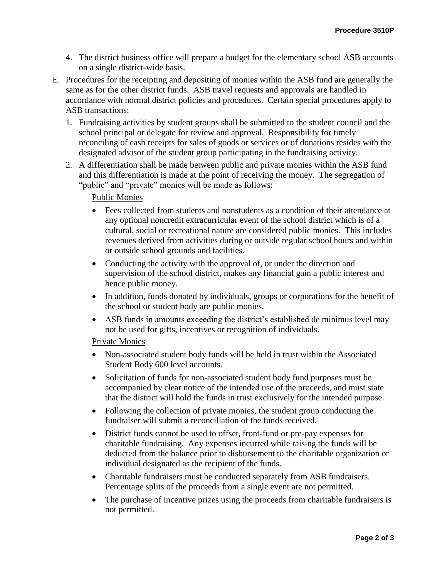- 4. The district business office will prepare a budget for the elementary school ASB accounts on a single district-wide basis.
- E. Procedures for the receipting and depositing of monies within the ASB fund are generally the same as for the other district funds. ASB travel requests and approvals are handled in accordance with normal district policies and procedures. Certain special procedures apply to ASB transactions:
	- 1. Fundraising activities by student groups shall be submitted to the student council and the school principal or delegate for review and approval. Responsibility for timely reconciling of cash receipts for sales of goods or services or of donations resides with the designated advisor of the student group participating in the fundraising activity.
	- 2. A differentiation shall be made between public and private monies within the ASB fund and this differentiation is made at the point of receiving the money. The segregation of "public" and "private" monies will be made as follows:

## Public Monies

- Fees collected from students and nonstudents as a condition of their attendance at any optional noncredit extracurricular event of the school district which is of a cultural, social or recreational nature are considered public monies. This includes revenues derived from activities during or outside regular school hours and within or outside school grounds and facilities.
- Conducting the activity with the approval of, or under the direction and supervision of the school district, makes any financial gain a public interest and hence public money.
- In addition, funds donated by individuals, groups or corporations for the benefit of the school or student body are public monies.
- ASB funds in amounts exceeding the district's established de minimus level may not be used for gifts, incentives or recognition of individuals.

## Private Monies

- Non-associated student body funds will be held in trust within the Associated Student Body 600 level accounts.
- Solicitation of funds for non-associated student body fund purposes must be accompanied by clear notice of the intended use of the proceeds, and must state that the district will hold the funds in trust exclusively for the intended purpose.
- Following the collection of private monies, the student group conducting the fundraiser will submit a reconciliation of the funds received.
- District funds cannot be used to offset, front-fund or pre-pay expenses for charitable fundraising. Any expenses incurred while raising the funds will be deducted from the balance prior to disbursement to the charitable organization or individual designated as the recipient of the funds.
- Charitable fundraisers must be conducted separately from ASB fundraisers. Percentage splits of the proceeds from a single event are not permitted.
- The purchase of incentive prizes using the proceeds from charitable fundraisers is not permitted.